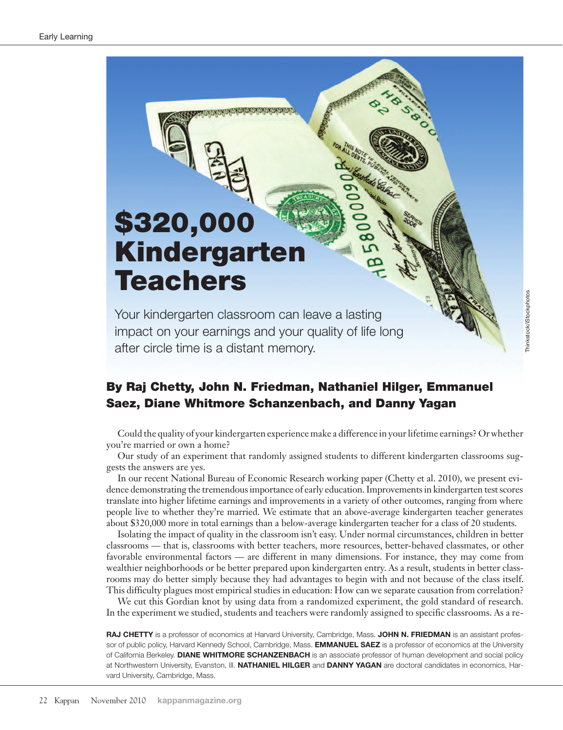# **\$320,000 Kindergarten Teachers**

Your kindergarten classroom can leave a lasting impact on your earnings and your quality of life long after circle time is a distant memory.

## **By Raj Chetty, John N. Friedman, Nathaniel Hilger, Emmanuel Saez, Diane Whitmore Schanzenbach, and Danny Yagan**

Could the quality of your kindergarten experience make a difference in your lifetime earnings? Or whether you're married or own a home?

Our study of an experiment that randomly assigned students to different kindergarten classrooms suggests the answers are yes.

In our recent National Bureau of Economic Research working paper (Chetty et al. 2010), we present evidence demonstrating the tremendous importance of early education. Improvements in kindergarten test scores translate into higher lifetime earnings and improvements in a variety of other outcomes, ranging from where people live to whether they're married. We estimate that an above-average kindergarten teacher generates about \$320,000 more in total earnings than a below-average kindergarten teacher for a class of 20 students.

Isolating the impact of quality in the classroom isn't easy. Under normal circumstances, children in better classrooms — that is, classrooms with better teachers, more resources, better-behaved classmates, or other favorable environmental factors — are different in many dimensions. For instance, they may come from wealthier neighborhoods or be better prepared upon kindergarten entry. As a result, students in better classrooms may do better simply because they had advantages to begin with and not because of the class itself. This difficulty plagues most empirical studies in education: How can we separate causation from correlation?

We cut this Gordian knot by using data from a randomized experiment, the gold standard of research. In the experiment we studied, students and teachers were randomly assigned to specific classrooms. As a re-

**RAJ CHETTY** is a professor of economics at Harvard University, Cambridge, Mass. **JOHN N. FRIEDMAN** is an assistant professor of public policy, Harvard Kennedy School, Cambridge, Mass. **EMMANUEL SAEZ** is a professor of economics at the University of California Berkeley. **DIANE WHITMORE SCHANZENBACH** is an associate professor of human development and social policy at Northwestern University, Evanston, Ill. **NATHANIEL HILGER** and **DANNY YAGAN** are doctoral candidates in economics, Harvard University, Cambridge, Mass.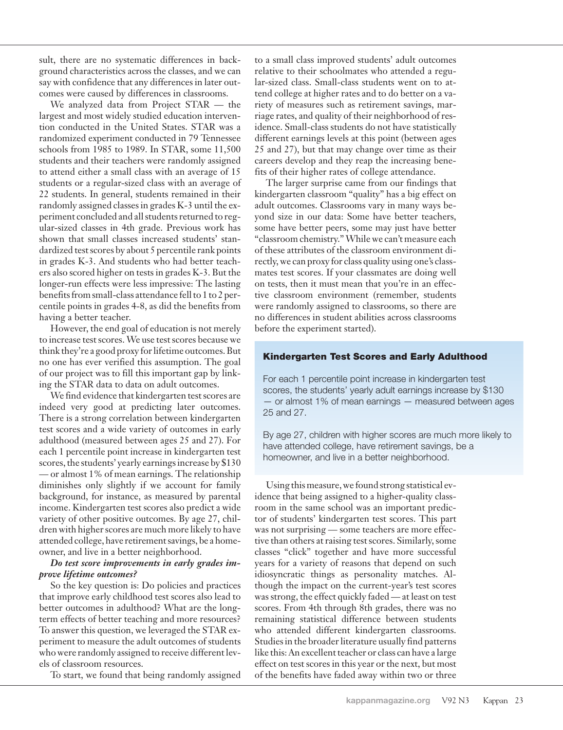sult, there are no systematic differences in background characteristics across the classes, and we can say with confidence that any differences in later outcomes were caused by differences in classrooms.

We analyzed data from Project STAR — the largest and most widely studied education intervention conducted in the United States. STAR was a randomized experiment conducted in 79 Tennessee schools from 1985 to 1989. In STAR, some 11,500 students and their teachers were randomly assigned to attend either a small class with an average of 15 students or a regular-sized class with an average of 22 students. In general, students remained in their randomly assigned classes in grades K-3 until the experiment concluded and all students returned to regular-sized classes in 4th grade. Previous work has shown that small classes increased students' standardized test scores by about 5 percentile rank points in grades K-3. And students who had better teachers also scored higher on tests in grades K-3. But the longer-run effects were less impressive: The lasting benefits from small-class attendance fell to 1 to 2 percentile points in grades 4-8, as did the benefits from having a better teacher.

However, the end goal of education is not merely to increase test scores. We use test scores because we think they're a good proxy for lifetime outcomes. But no one has ever verified this assumption. The goal of our project was to fill this important gap by linking the STAR data to data on adult outcomes.

We find evidence that kindergarten test scores are indeed very good at predicting later outcomes. There is a strong correlation between kindergarten test scores and a wide variety of outcomes in early adulthood (measured between ages 25 and 27). For each 1 percentile point increase in kindergarten test scores, the students' yearly earnings increase by \$130 — or almost 1% of mean earnings. The relationship diminishes only slightly if we account for family background, for instance, as measured by parental income. Kindergarten test scores also predict a wide variety of other positive outcomes. By age 27, children with higher scores are much more likely to have attended college, have retirement savings, be a homeowner, and live in a better neighborhood.

#### *Do test score improvements in early grades improve lifetime outcomes?*

So the key question is: Do policies and practices that improve early childhood test scores also lead to better outcomes in adulthood? What are the longterm effects of better teaching and more resources? To answer this question, we leveraged the STAR experiment to measure the adult outcomes of students who were randomly assigned to receive different levels of classroom resources.

To start, we found that being randomly assigned

to a small class improved students' adult outcomes relative to their schoolmates who attended a regular-sized class. Small-class students went on to attend college at higher rates and to do better on a variety of measures such as retirement savings, marriage rates, and quality of their neighborhood of residence. Small-class students do not have statistically different earnings levels at this point (between ages 25 and 27), but that may change over time as their careers develop and they reap the increasing benefits of their higher rates of college attendance.

The larger surprise came from our findings that kindergarten classroom "quality" has a big effect on adult outcomes. Classrooms vary in many ways beyond size in our data: Some have better teachers, some have better peers, some may just have better "classroom chemistry." While we can't measure each of these attributes of the classroom environment directly, we can proxy for class quality using one's classmates test scores. If your classmates are doing well on tests, then it must mean that you're in an effective classroom environment (remember, students were randomly assigned to classrooms, so there are no differences in student abilities across classrooms before the experiment started).

#### **Kindergarten Test Scores and Early Adulthood**

For each 1 percentile point increase in kindergarten test scores, the students' yearly adult earnings increase by \$130 — or almost 1% of mean earnings — measured between ages 25 and 27.

By age 27, children with higher scores are much more likely to have attended college, have retirement savings, be a homeowner, and live in a better neighborhood.

Using this measure, we found strong statistical evidence that being assigned to a higher-quality classroom in the same school was an important predictor of students' kindergarten test scores. This part was not surprising — some teachers are more effective than others at raising test scores. Similarly, some classes "click" together and have more successful years for a variety of reasons that depend on such idiosyncratic things as personality matches. Although the impact on the current-year's test scores was strong, the effect quickly faded — at least on test scores. From 4th through 8th grades, there was no remaining statistical difference between students who attended different kindergarten classrooms. Studies in the broader literature usually find patterns like this: An excellent teacher or class can have a large effect on test scores in this year or the next, but most of the benefits have faded away within two or three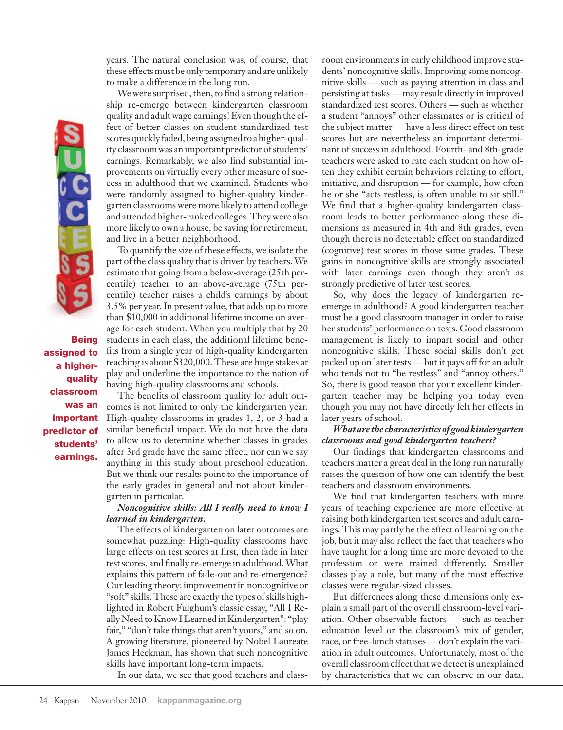

**Being assigned to a higherquality classroom was an important predictor of students' earnings.**

years. The natural conclusion was, of course, that these effects must be only temporary and are unlikely to make a difference in the long run.

We were surprised, then, to find a strong relationship re-emerge between kindergarten classroom quality and adult wage earnings! Even though the effect of better classes on student standardized test scores quickly faded, being assigned to a higher-quality classroom was an important predictor of students' earnings. Remarkably, we also find substantial improvements on virtually every other measure of success in adulthood that we examined. Students who were randomly assigned to higher-quality kindergarten classrooms were more likely to attend college and attended higher-ranked colleges. They were also more likely to own a house, be saving for retirement, and live in a better neighborhood.

To quantify the size of these effects, we isolate the part of the class quality that is driven by teachers. We estimate that going from a below-average (25th percentile) teacher to an above-average (75th percentile) teacher raises a child's earnings by about 3.5% per year. In present value, that adds up to more than \$10,000 in additional lifetime income on average for each student. When you multiply that by 20 students in each class, the additional lifetime benefits from a single year of high-quality kindergarten teaching is about \$320,000. These are huge stakes at play and underline the importance to the nation of having high-quality classrooms and schools.

The benefits of classroom quality for adult outcomes is not limited to only the kindergarten year. High-quality classrooms in grades 1, 2, or 3 had a similar beneficial impact. We do not have the data to allow us to determine whether classes in grades after 3rd grade have the same effect, nor can we say anything in this study about preschool education. But we think our results point to the importance of the early grades in general and not about kindergarten in particular.

#### *Noncognitive skills: All I really need to know I learned in kindergarten.*

The effects of kindergarten on later outcomes are somewhat puzzling: High-quality classrooms have large effects on test scores at first, then fade in later test scores, and finally re-emerge in adulthood. What explains this pattern of fade-out and re-emergence? Our leading theory: improvement in noncognitive or "soft" skills. These are exactly the types of skills highlighted in Robert Fulghum's classic essay, "All I Really Need to Know I Learned in Kindergarten": "play fair," "don't take things that aren't yours," and so on. A growing literature, pioneered by Nobel Laureate James Heckman, has shown that such noncognitive skills have important long-term impacts.

In our data, we see that good teachers and class-

room environments in early childhood improve students' noncognitive skills. Improving some noncognitive skills — such as paying attention in class and persisting at tasks — may result directly in improved standardized test scores. Others — such as whether a student "annoys" other classmates or is critical of the subject matter — have a less direct effect on test scores but are nevertheless an important determinant of success in adulthood. Fourth- and 8th-grade teachers were asked to rate each student on how often they exhibit certain behaviors relating to effort, initiative, and disruption — for example, how often he or she "acts restless, is often unable to sit still." We find that a higher-quality kindergarten classroom leads to better performance along these dimensions as measured in 4th and 8th grades, even though there is no detectable effect on standardized (cognitive) test scores in those same grades. These gains in noncognitive skills are strongly associated with later earnings even though they aren't as strongly predictive of later test scores.

So, why does the legacy of kindergarten reemerge in adulthood? A good kindergarten teacher must be a good classroom manager in order to raise her students' performance on tests. Good classroom management is likely to impart social and other noncognitive skills. These social skills don't get picked up on later tests — but it pays off for an adult who tends not to "be restless" and "annoy others." So, there is good reason that your excellent kindergarten teacher may be helping you today even though you may not have directly felt her effects in later years of school.

#### *What are the characteristics of good kindergarten classrooms and good kindergarten teachers?*

Our findings that kindergarten classrooms and teachers matter a great deal in the long run naturally raises the question of how one can identify the best teachers and classroom environments.

We find that kindergarten teachers with more years of teaching experience are more effective at raising both kindergarten test scores and adult earnings. This may partly be the effect of learning on the job, but it may also reflect the fact that teachers who have taught for a long time are more devoted to the profession or were trained differently. Smaller classes play a role, but many of the most effective classes were regular-sized classes.

But differences along these dimensions only explain a small part of the overall classroom-level variation. Other observable factors — such as teacher education level or the classroom's mix of gender, race, or free-lunch statuses — don't explain the variation in adult outcomes. Unfortunately, most of the overall classroom effect that we detect is unexplained by characteristics that we can observe in our data.